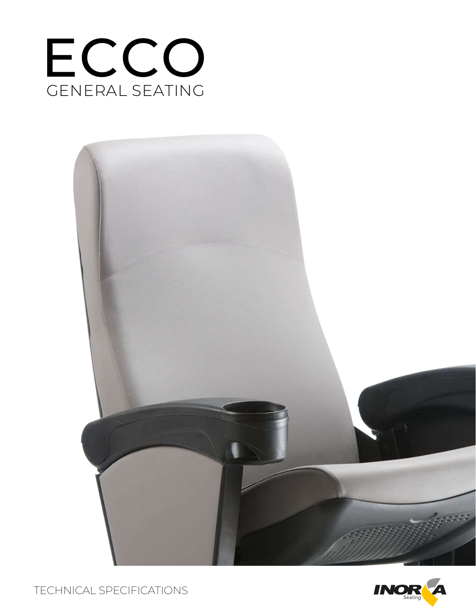



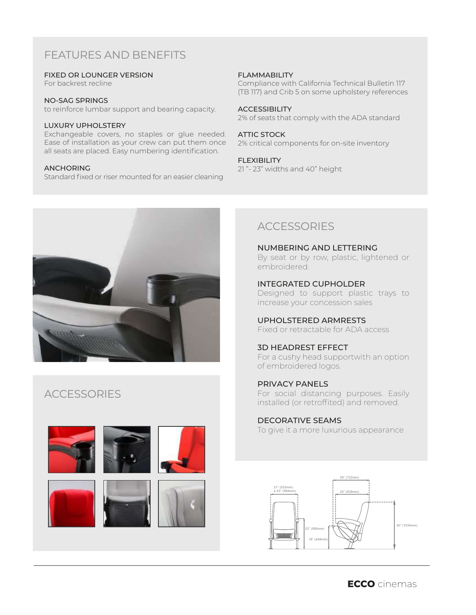# FEATURES AND BENEFITS

### FIXED OR LOUNGER VERSION

For backrest recline

#### NO-SAG SPRINGS

to reinforce lumbar support and bearing capacity.

## LUXURY UPHOLSTERY

Exchangeable covers, no staples or glue needed. Ease of installation as your crew can put them once all seats are placed. Easy numbering identification.

#### ANCHORING

Standard fixed or riser mounted for an easier cleaning

## FLAMMABILITY

Compliance with California Technical Bulletin 117 (TB 117) and Crib 5 on some upholstery references

#### **ACCESSIBILITY**

2% of seats that comply with the ADA standard

#### ATTIC STOCK

2% critical components for on-site inventory

#### FLEXIBILITY

21 "- 23" widths and 40" height



# **ACCESSORIES**









# **ACCESSORIES**

NUMBERING AND LETTERING By seat or by row, plastic, lightened or embroidered.

INTEGRATED CUPHOLDER Designed to support plastic trays to increase your concession sales

UPHOLSTERED ARMRESTS Fixed or retractable for ADA access

## 3D HEADREST EFFECT

For a cushy head supportwith an option of embroidered logos.

PRIVACY PANELS For social distancing purposes. Easily installed (or retroffited) and removed.

## DECORATIVE SEAMS

To give it a more luxurious appearance

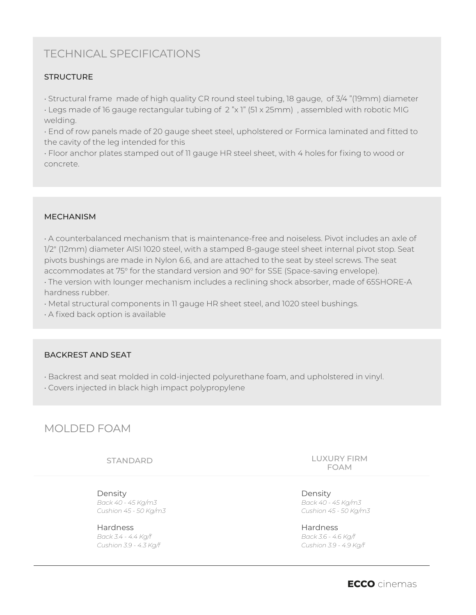# TECHNICAL SPECIFICATIONS

## **STRUCTURE**

• Structural frame made of high quality CR round steel tubing, 18 gauge, of 3/4 "(19mm) diameter

• Legs made of 16 gauge rectangular tubing of 2 "x 1" (51 x 25mm) , assembled with robotic MIG welding.

• End of row panels made of 20 gauge sheet steel, upholstered or Formica laminated and fitted to the cavity of the leg intended for this

• Floor anchor plates stamped out of 11 gauge HR steel sheet, with 4 holes for fixing to wood or concrete.

## MECHANISM

• A counterbalanced mechanism that is maintenance-free and noiseless. Pivot includes an axle of 1/2" (12mm) diameter AISI 1020 steel, with a stamped 8-gauge steel sheet internal pivot stop. Seat pivots bushings are made in Nylon 6.6, and are attached to the seat by steel screws. The seat accommodates at 75° for the standard version and 90° for SSE (Space-saving envelope).

• The version with lounger mechanism includes a reclining shock absorber, made of 65SHORE-A hardness rubber.

• Metal structural components in 11 gauge HR sheet steel, and 1020 steel bushings.

• A fixed back option is available

## BACKREST AND SEAT

• Backrest and seat molded in cold-injected polyurethane foam, and upholstered in vinyl.

• Covers injected in black high impact polypropylene

# MOLDED FOAM

STANDARD

Density *Back 40 - 45 Kg/m3 Cushion 45 - 50 Kg/m3*

Hardness *Back 3.4 - 4.4 Kg/f Cushion 3.9 - 4.3 Kg/f* LUXURY FIRM FOAM

Density *Back 40 - 45 Kg/m3 Cushion 45 - 50 Kg/m3*

Hardness *Back 3.6 - 4.6 Kg/f Cushion 3.9 - 4.9 Kg/f*